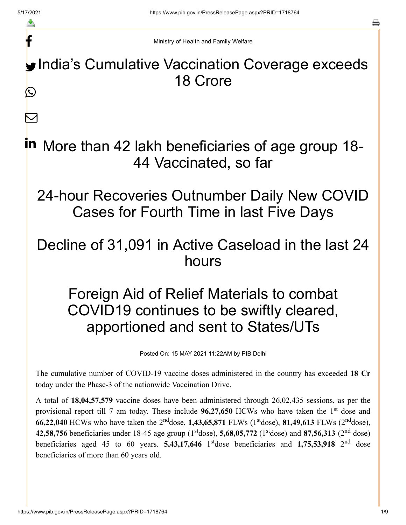f

 $\blacktriangleright$ 

Ministry of Health and Family Welfare

India's Cumulative Vaccination Coverage exceeds 18 Crore  $\bigcirc$ 

in More than 42 lakh beneficiaries of age group 18-44 Vaccinated, so far

24-hour Recoveries Outnumber Daily New COVID Cases for Fourth Time in last Five Days

## Decline of 31,091 in Active Caseload in the last 24 hours

## Foreign Aid of Relief Materials to combat COVID19 continues to be swiftly cleared, apportioned and sent to States/UTs

Posted On: 15 MAY 2021 11:22AM by PIB Delhi

The cumulative number of COVID-19 vaccine doses administered in the country has exceeded **18 Cr** today under the Phase-3 of the nationwide Vaccination Drive.

A total of **18,04,57,579** vaccine doses have been administered through 26,02,435 sessions, as per the provisional report till 7 am today. These include 96,27,650 HCWs who have taken the 1<sup>st</sup> dose and **66,22,040** HCWs who have taken the 2<sup>nd</sup>dose, 1,43,65,871 FLWs (1<sup>st</sup>dose), 81,49,613 FLWs (2<sup>nd</sup>dose), **42,58,756** beneficiaries under 18-45 age group ( $1<sup>st</sup>$ dose), **5,68,05,772** ( $1<sup>st</sup>$ dose) and **87,56,313** ( $2<sup>nd</sup>$  dose) beneficiaries aged 45 to 60 years. **5,43,17,646** 1<sup>st</sup>dose beneficiaries and **1,75,53,918** 2<sup>nd</sup> dose beneficiaries of more than 60 years old.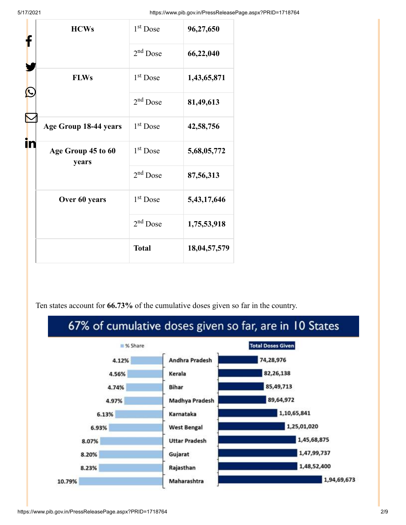5/17/2021 https://www.pib.gov.in/PressReleasePage.aspx?PRID=1718764

|  | <b>HCWs</b><br><b>FLWs</b>  | 1 <sup>st</sup> Dose | 96,27,650    |
|--|-----------------------------|----------------------|--------------|
|  |                             | 2 <sup>nd</sup> Dose | 66,22,040    |
|  |                             | 1 <sup>st</sup> Dose | 1,43,65,871  |
|  |                             | 2 <sup>nd</sup> Dose | 81,49,613    |
|  | Age Group 18-44 years       | 1 <sup>st</sup> Dose | 42,58,756    |
|  | Age Group 45 to 60<br>years | $1st$ Dose           | 5,68,05,772  |
|  |                             | 2 <sup>nd</sup> Dose | 87,56,313    |
|  | Over 60 years               | 1 <sup>st</sup> Dose | 5,43,17,646  |
|  |                             | 2 <sup>nd</sup> Dose | 1,75,53,918  |
|  |                             | <b>Total</b>         | 18,04,57,579 |

Ten states account for **66.73%** of the cumulative doses given so far in the country.

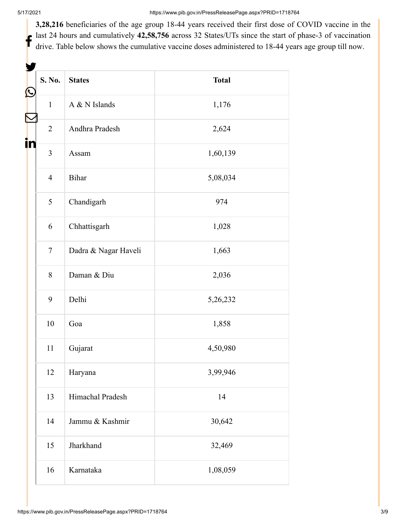$\mathbf t$ 

**3,28,216** beneficiaries of the age group 18-44 years received their first dose of COVID vaccine in the last 24 hours and cumulatively **42,58,756** across 32 States/UTs since the start of phase-3 of vaccination drive. Table below shows the cumulative vaccine doses administered to 18-44 years age group till now.

| Ŀ  | S. No.         | <b>States</b>        | <b>Total</b> |  |
|----|----------------|----------------------|--------------|--|
|    | $\mathbf{1}$   | A & N Islands        | 1,176        |  |
|    | $\overline{2}$ | Andhra Pradesh       | 2,624        |  |
| İn | $\overline{3}$ | Assam                | 1,60,139     |  |
|    | $\overline{4}$ | Bihar                | 5,08,034     |  |
|    | 5              | Chandigarh           | 974          |  |
|    | 6              | Chhattisgarh         | 1,028        |  |
|    | $\overline{7}$ | Dadra & Nagar Haveli | 1,663        |  |
|    | 8              | Daman & Diu          | 2,036        |  |
|    | 9              | Delhi                | 5,26,232     |  |
|    | 10             | Goa                  | 1,858        |  |
|    | 11             | Gujarat              | 4,50,980     |  |
|    | 12             | Haryana              | 3,99,946     |  |
|    | 13             | Himachal Pradesh     | 14           |  |
|    | 14             | Jammu & Kashmir      | 30,642       |  |
|    | 15             | Jharkhand            | 32,469       |  |
|    | 16             | Karnataka            | 1,08,059     |  |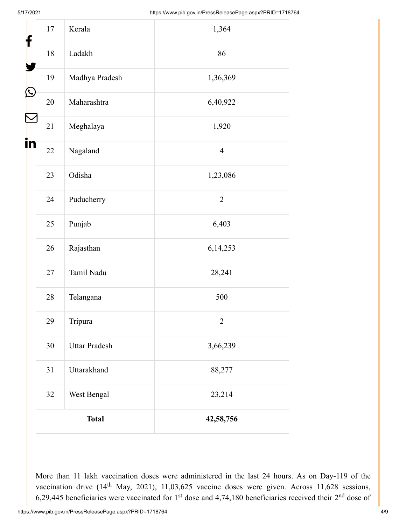| f  | 17     | Kerala               | 1,364          |
|----|--------|----------------------|----------------|
|    | $18\,$ | Ladakh               | 86             |
|    | 19     | Madhya Pradesh       | 1,36,369       |
| Ŀ  | 20     | Maharashtra          | 6,40,922       |
|    | 21     | Meghalaya            | 1,920          |
| in | 22     | Nagaland             | $\overline{4}$ |
|    | 23     | Odisha               | 1,23,086       |
|    | 24     | Puducherry           | $\overline{2}$ |
|    | 25     | Punjab               | 6,403          |
|    | 26     | Rajasthan            | 6,14,253       |
|    | 27     | Tamil Nadu           | 28,241         |
|    | 28     | Telangana            | 500            |
|    | 29     | Tripura              | $\overline{2}$ |
|    | 30     | <b>Uttar Pradesh</b> | 3,66,239       |
|    | 31     | Uttarakhand          | 88,277         |
|    | 32     | West Bengal          | 23,214         |
|    |        | <b>Total</b>         | 42,58,756      |

More than 11 lakh vaccination doses were administered in the last 24 hours. As on Day-119 of the vaccination drive  $(14<sup>th</sup>$  May, 2021), 11,03,625 vaccine doses were given. Across 11,628 sessions, 6,29,445 beneficiaries were vaccinated for  $1<sup>st</sup>$  dose and 4,74,180 beneficiaries received their  $2<sup>nd</sup>$  dose of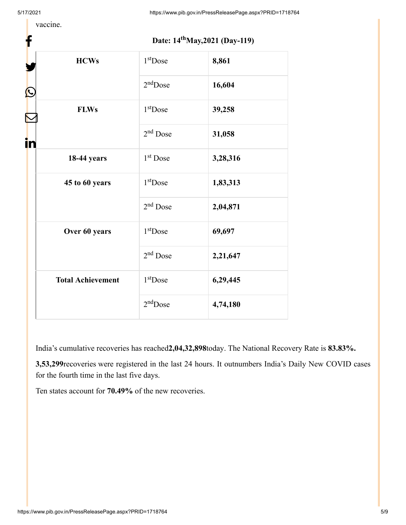f

5/17/2021 https://www.pib.gov.in/PressReleasePage.aspx?PRID=1718764

vaccine.

|  | Date: 14 <sup>th</sup> May, 2021 (Day-119) |  |
|--|--------------------------------------------|--|
|--|--------------------------------------------|--|

|    | <b>HCWs</b>              | 1 <sup>st</sup> Dose | 8,861    |
|----|--------------------------|----------------------|----------|
| C  |                          | $2nd$ Dose           | 16,604   |
|    | <b>FLWs</b>              | $1st$ Dose           | 39,258   |
| in |                          | 2 <sup>nd</sup> Dose | 31,058   |
|    | <b>18-44 years</b>       | 1 <sup>st</sup> Dose | 3,28,316 |
|    | 45 to 60 years           | $1st$ Dose           | 1,83,313 |
|    |                          | 2 <sup>nd</sup> Dose | 2,04,871 |
|    | Over 60 years            | 1 <sup>st</sup> Dose | 69,697   |
|    |                          | $2nd$ Dose           | 2,21,647 |
|    | <b>Total Achievement</b> | 1 <sup>st</sup> Dose | 6,29,445 |
|    |                          | $2nd$ Dose           | 4,74,180 |
|    |                          |                      |          |

India's cumulative recoveries has reached**2,04,32,898**today. The National Recovery Rate is **83.83%.**

**3,53,299**recoveries were registered in the last 24 hours. It outnumbers India's Daily New COVID cases for the fourth time in the last five days.

Ten states account for **70.49%** of the new recoveries.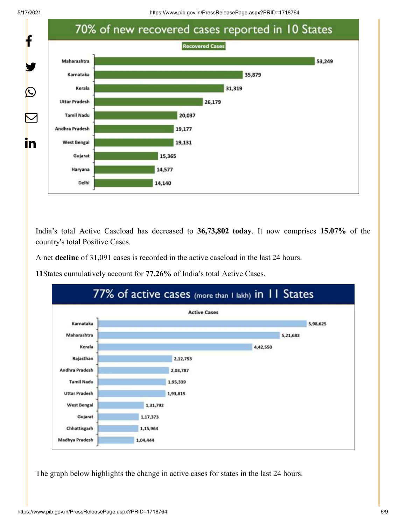5/17/2021 https://www.pib.gov.in/PressReleasePage.aspx?PRID=1718764

![](_page_5_Figure_2.jpeg)

India's total Active Caseload has decreased to **36,73,802 today**. It now comprises **15.07%** of the country's total Positive Cases.

A net **decline** of 31,091 cases is recorded in the active caseload in the last 24 hours.

**11**States cumulatively account for **77.26%** of India's total Active Cases.

![](_page_5_Figure_6.jpeg)

The graph below highlights the change in active cases for states in the last 24 hours.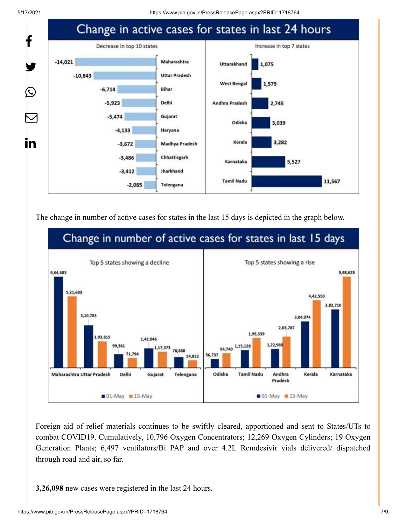![](_page_6_Figure_2.jpeg)

The change in number of active cases for states in the last 15 days is depicted in the graph below.

![](_page_6_Figure_4.jpeg)

Foreign aid of relief materials continues to be swiftly cleared, apportioned and sent to States/UTs to combat COVID19. Cumulatively, 10,796 Oxygen Concentrators; 12,269 Oxygen Cylinders; 19 Oxygen Generation Plants; 6,497 ventilators/Bi PAP and over 4.2L Remdesivir vials delivered/ dispatched through road and air, so far.

**3,26,098** new cases were registered in the last 24 hours.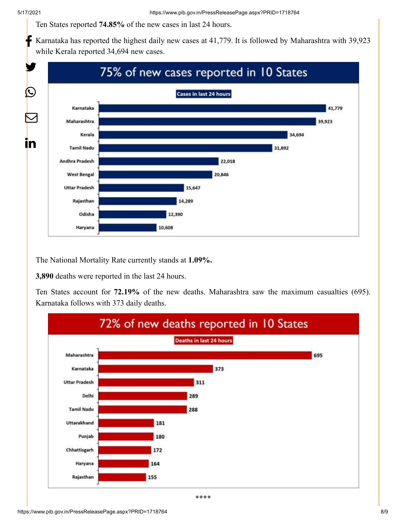Ten States reported **74.85%** of the new cases in last 24 hours.

Karnataka has reported the highest daily new cases at 41,779. It is followed by Maharashtra with 39,923 while Kerala reported 34,694 new cases. f

![](_page_7_Figure_4.jpeg)

The National Mortality Rate currently stands at **1.09%.**

**3,890** deaths were reported in the last 24 hours.

Ten States account for **72.19%** of the new deaths. Maharashtra saw the maximum casualties (695). Karnataka follows with 373 daily deaths.

![](_page_7_Figure_8.jpeg)